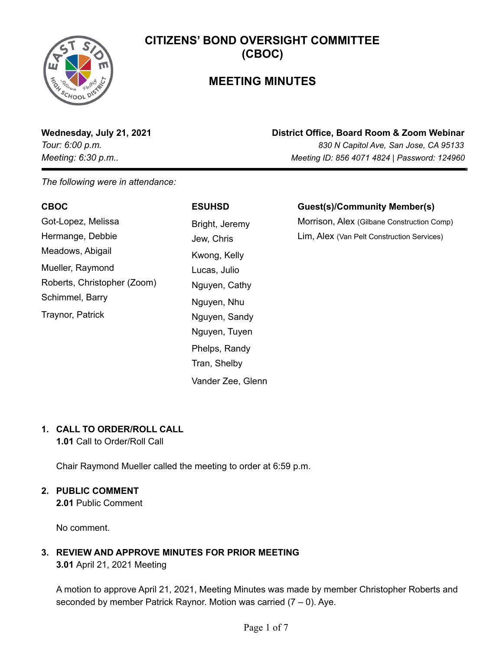

## **MEETING MINUTES**

**Wednesday, July 21, 2021 District Office, Board Room & Zoom Webinar**

*Tour: 6:00 p.m. 830 N Capitol Ave, San Jose, CA 95133 Meeting: 6:30 p.m.. Meeting ID: 856 4071 4824 | Password: 124960*

*The following were in attendance:*

| <b>CBOC</b>                 | <b>ESUHSD</b>  | <b>Guest(s)/Community Member(s)</b>        |
|-----------------------------|----------------|--------------------------------------------|
| Got-Lopez, Melissa          | Bright, Jeremy | Morrison, Alex (Gilbane Construction Comp) |
| Hermange, Debbie            | Jew, Chris     | Lim, Alex (Van Pelt Construction Services) |
| Meadows, Abigail            | Kwong, Kelly   |                                            |
| Mueller, Raymond            | Lucas, Julio   |                                            |
| Roberts, Christopher (Zoom) | Nguyen, Cathy  |                                            |
| Schimmel, Barry             | Nguyen, Nhu    |                                            |
| Traynor, Patrick            | Nguyen, Sandy  |                                            |
|                             | Nguyen, Tuyen  |                                            |
|                             | Phelps, Randy  |                                            |

Tran, Shelby

Vander Zee, Glenn

#### **1. CALL TO ORDER/ROLL CALL**

**1.01** Call to Order/Roll Call

Chair Raymond Mueller called the meeting to order at 6:59 p.m.

#### **2. PUBLIC COMMENT**

**2.01** Public Comment

No comment.

#### **3. REVIEW AND APPROVE MINUTES FOR PRIOR MEETING**

**3.01** April 21, 2021 Meeting

A motion to approve April 21, 2021, Meeting Minutes was made by member Christopher Roberts and seconded by member Patrick Raynor. Motion was carried  $(7 - 0)$ . Aye.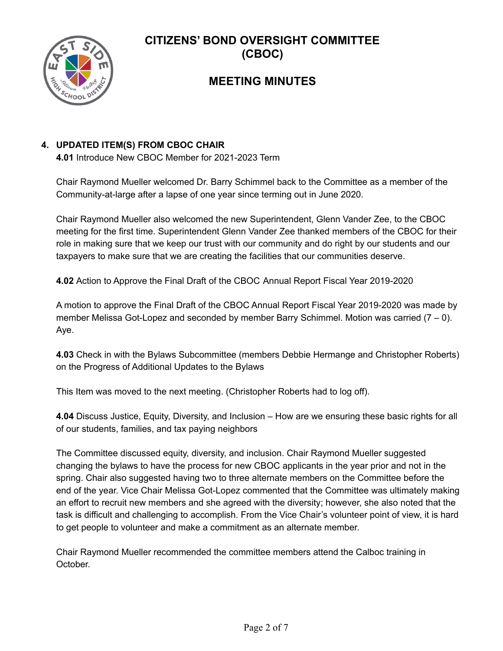

## **MEETING MINUTES**

#### **4. UPDATED ITEM(S) FROM CBOC CHAIR**

**4.01** Introduce New CBOC Member for 2021-2023 Term

Chair Raymond Mueller welcomed Dr. Barry Schimmel back to the Committee as a member of the Community-at-large after a lapse of one year since terming out in June 2020.

Chair Raymond Mueller also welcomed the new Superintendent, Glenn Vander Zee, to the CBOC meeting for the first time. Superintendent Glenn Vander Zee thanked members of the CBOC for their role in making sure that we keep our trust with our community and do right by our students and our taxpayers to make sure that we are creating the facilities that our communities deserve.

**4.02** Action to Approve the Final Draft of the CBOC Annual Report Fiscal Year 2019-2020

A motion to approve the Final Draft of the CBOC Annual Report Fiscal Year 2019-2020 was made by member Melissa Got-Lopez and seconded by member Barry Schimmel. Motion was carried (7 – 0). Aye.

**4.03** Check in with the Bylaws Subcommittee (members Debbie Hermange and Christopher Roberts) on the Progress of Additional Updates to the Bylaws

This Item was moved to the next meeting. (Christopher Roberts had to log off).

**4.04** Discuss Justice, Equity, Diversity, and Inclusion – How are we ensuring these basic rights for all of our students, families, and tax paying neighbors

The Committee discussed equity, diversity, and inclusion. Chair Raymond Mueller suggested changing the bylaws to have the process for new CBOC applicants in the year prior and not in the spring. Chair also suggested having two to three alternate members on the Committee before the end of the year. Vice Chair Melissa Got-Lopez commented that the Committee was ultimately making an effort to recruit new members and she agreed with the diversity; however, she also noted that the task is difficult and challenging to accomplish. From the Vice Chair's volunteer point of view, it is hard to get people to volunteer and make a commitment as an alternate member.

Chair Raymond Mueller recommended the committee members attend the Calboc training in October.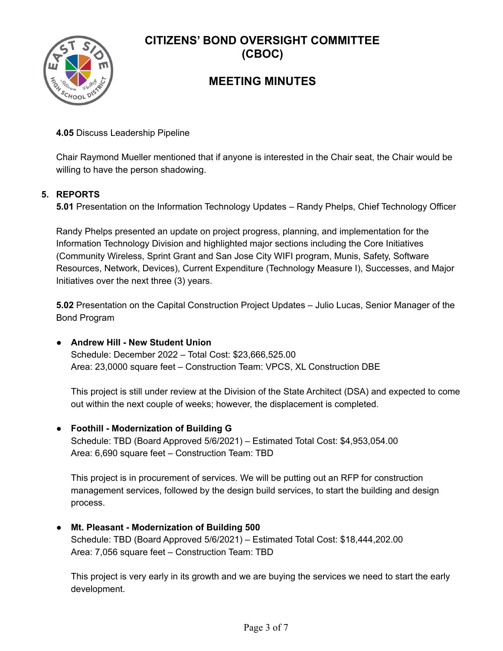

## **MEETING MINUTES**

**4.05** Discuss Leadership Pipeline

Chair Raymond Mueller mentioned that if anyone is interested in the Chair seat, the Chair would be willing to have the person shadowing.

#### **5. REPORTS**

**5.01** Presentation on the Information Technology Updates – Randy Phelps, Chief Technology Officer

Randy Phelps presented an update on project progress, planning, and implementation for the Information Technology Division and highlighted major sections including the Core Initiatives (Community Wireless, Sprint Grant and San Jose City WIFI program, Munis, Safety, Software Resources, Network, Devices), Current Expenditure (Technology Measure I), Successes, and Major Initiatives over the next three (3) years.

**5.02** Presentation on the Capital Construction Project Updates – Julio Lucas, Senior Manager of the Bond Program

**● Andrew Hill - New Student Union** Schedule: December 2022 – Total Cost: \$23,666,525.00 Area: 23,0000 square feet – Construction Team: VPCS, XL Construction DBE

This project is still under review at the Division of the State Architect (DSA) and expected to come out within the next couple of weeks; however, the displacement is completed.

**● Foothill - Modernization of Building G** Schedule: TBD (Board Approved 5/6/2021) – Estimated Total Cost: \$4,953,054.00 Area: 6,690 square feet – Construction Team: TBD

This project is in procurement of services. We will be putting out an RFP for construction management services, followed by the design build services, to start the building and design process.

**● Mt. Pleasant - Modernization of Building 500** Schedule: TBD (Board Approved 5/6/2021) – Estimated Total Cost: \$18,444,202.00 Area: 7,056 square feet – Construction Team: TBD

This project is very early in its growth and we are buying the services we need to start the early development.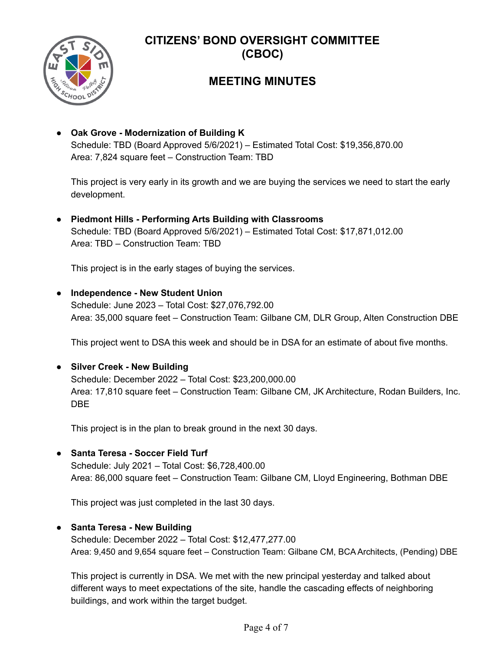

## **MEETING MINUTES**

**● Oak Grove - Modernization of Building K** Schedule: TBD (Board Approved 5/6/2021) – Estimated Total Cost: \$19,356,870.00 Area: 7,824 square feet – Construction Team: TBD

This project is very early in its growth and we are buying the services we need to start the early development.

**● Piedmont Hills - Performing Arts Building with Classrooms** Schedule: TBD (Board Approved 5/6/2021) – Estimated Total Cost: \$17,871,012.00 Area: TBD – Construction Team: TBD

This project is in the early stages of buying the services.

#### **● Independence - New Student Union**

Schedule: June 2023 – Total Cost: \$27,076,792.00 Area: 35,000 square feet – Construction Team: Gilbane CM, DLR Group, Alten Construction DBE

This project went to DSA this week and should be in DSA for an estimate of about five months.

**● Silver Creek - New Building** Schedule: December 2022 – Total Cost: \$23,200,000.00 Area: 17,810 square feet – Construction Team: Gilbane CM, JK Architecture, Rodan Builders, Inc. DBE

This project is in the plan to break ground in the next 30 days.

**● Santa Teresa - Soccer Field Turf** Schedule: July 2021 – Total Cost: \$6,728,400.00 Area: 86,000 square feet – Construction Team: Gilbane CM, Lloyd Engineering, Bothman DBE

This project was just completed in the last 30 days.

**● Santa Teresa - New Building**

Schedule: December 2022 – Total Cost: \$12,477,277.00 Area: 9,450 and 9,654 square feet – Construction Team: Gilbane CM, BCA Architects, (Pending) DBE

This project is currently in DSA. We met with the new principal yesterday and talked about different ways to meet expectations of the site, handle the cascading effects of neighboring buildings, and work within the target budget.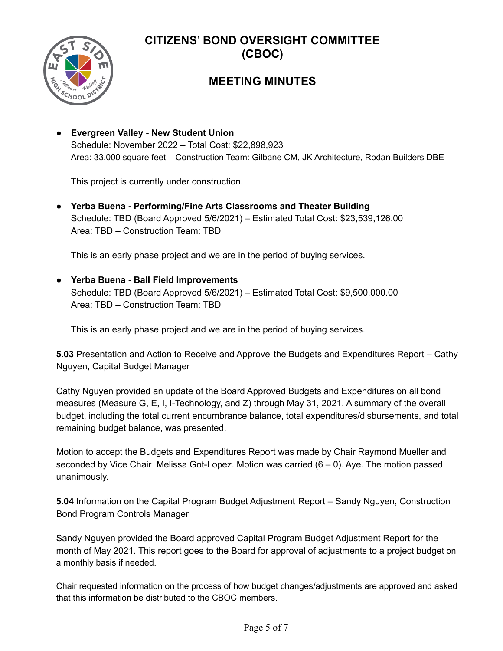

## **MEETING MINUTES**

**● Evergreen Valley - New Student Union** Schedule: November 2022 – Total Cost: \$22,898,923 Area: 33,000 square feet – Construction Team: Gilbane CM, JK Architecture, Rodan Builders DBE

This project is currently under construction.

**● Yerba Buena - Performing/Fine Arts Classrooms and Theater Building** Schedule: TBD (Board Approved 5/6/2021) – Estimated Total Cost: \$23,539,126.00 Area: TBD – Construction Team: TBD

This is an early phase project and we are in the period of buying services.

**● Yerba Buena - Ball Field Improvements** Schedule: TBD (Board Approved 5/6/2021) – Estimated Total Cost: \$9,500,000.00 Area: TBD – Construction Team: TBD

This is an early phase project and we are in the period of buying services.

**5.03** Presentation and Action to Receive and Approve the Budgets and Expenditures Report – Cathy Nguyen, Capital Budget Manager

Cathy Nguyen provided an update of the Board Approved Budgets and Expenditures on all bond measures (Measure G, E, I, I-Technology, and Z) through May 31, 2021. A summary of the overall budget, including the total current encumbrance balance, total expenditures/disbursements, and total remaining budget balance, was presented.

Motion to accept the Budgets and Expenditures Report was made by Chair Raymond Mueller and seconded by Vice Chair Melissa Got-Lopez. Motion was carried (6 – 0). Aye. The motion passed unanimously.

**5.04** Information on the Capital Program Budget Adjustment Report – Sandy Nguyen, Construction Bond Program Controls Manager

Sandy Nguyen provided the Board approved Capital Program Budget Adjustment Report for the month of May 2021. This report goes to the Board for approval of adjustments to a project budget on a monthly basis if needed.

Chair requested information on the process of how budget changes/adjustments are approved and asked that this information be distributed to the CBOC members.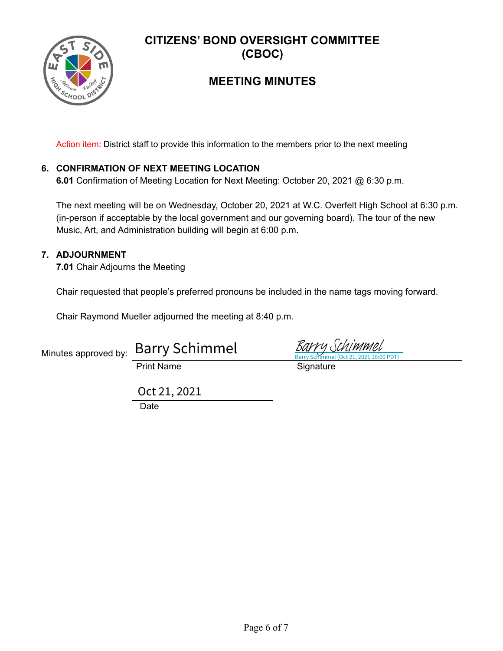

## **MEETING MINUTES**

Action item: District staff to provide this information to the members prior to the next meeting

#### **6. CONFIRMATION OF NEXT MEETING LOCATION**

**6.01** Confirmation of Meeting Location for Next Meeting: October 20, 2021 @ 6:30 p.m.

The next meeting will be on Wednesday, October 20, 2021 at W.C. Overfelt High School at 6:30 p.m. (in-person if acceptable by the local government and our governing board). The tour of the new Music, Art, and Administration building will begin at 6:00 p.m.

#### **7. ADJOURNMENT**

**7.01** Chair Adjourns the Meeting

Chair requested that people's preferred pronouns be included in the name tags moving forward.

Chair Raymond Mueller adjourned the meeting at 8:40 p.m.

| Minutes approved by: Barry Schimmel |
|-------------------------------------|
| $D = 1$ M $ = 2$                    |

Print Name Signature

**Date** Oct 21, 2021

Barry Schimmel (Oct 21, 2021 16:00 PDT) [Barry Schimmel](https://adobefreeuserschannel.na1.documents.adobe.com/verifier?tx=CBJCHBCAABAANGCr6bIvXUUtQNx871EqqgbMdZl-YkHD)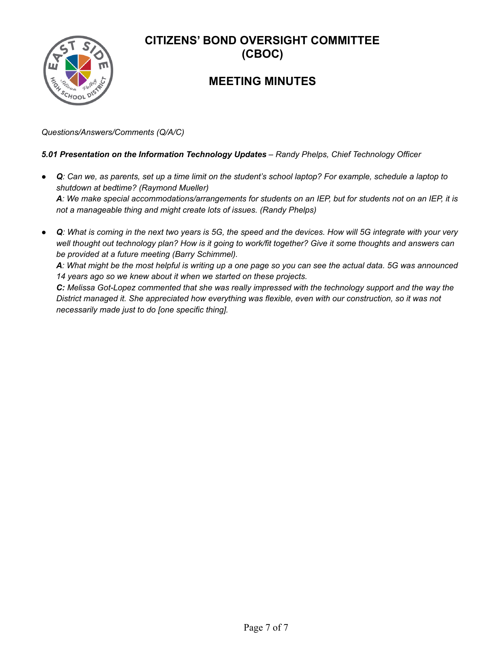## **MEETING MINUTES**

*Questions/Answers/Comments (Q/A/C)*

#### *5.01 Presentation on the Information Technology Updates – Randy Phelps, Chief Technology Officer*

- *● Q: Can we, as parents, set up a time limit on the student's school laptop? For example, schedule a laptop to shutdown at bedtime? (Raymond Mueller) A: We make special accommodations/arrangements for students on an IEP, but for students not on an IEP, it is not a manageable thing and might create lots of issues. (Randy Phelps)*
- *● Q: What is coming in the next two years is 5G, the speed and the devices. How will 5G integrate with your very well thought out technology plan? How is it going to work/fit together? Give it some thoughts and answers can be provided at a future meeting (Barry Schimmel).*

*A: What might be the most helpful is writing up a one page so you can see the actual data. 5G was announced 14 years ago so we knew about it when we started on these projects.*

*C: Melissa Got-Lopez commented that she was really impressed with the technology support and the way the District managed it. She appreciated how everything was flexible, even with our construction, so it was not necessarily made just to do [one specific thing].*